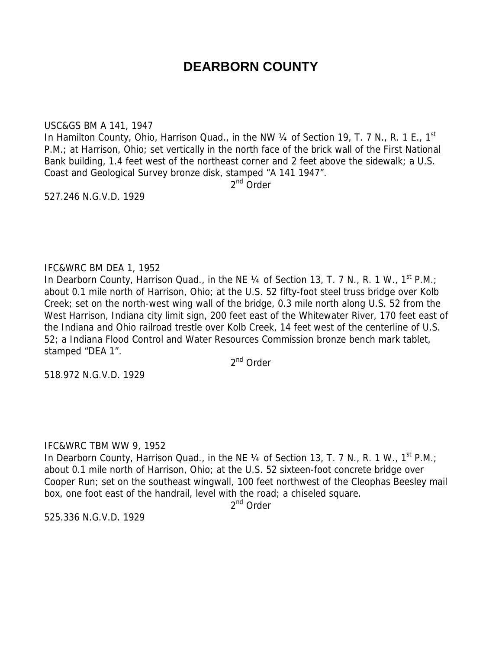# **DEARBORN COUNTY**

#### USC&GS BM A 141, 1947

In Hamilton County, Ohio, Harrison Quad., in the NW 1/4 of Section 19, T. 7 N., R. 1 E., 1<sup>st</sup> P.M.; at Harrison, Ohio; set vertically in the north face of the brick wall of the First National Bank building, 1.4 feet west of the northeast corner and 2 feet above the sidewalk; a U.S. Coast and Geological Survey bronze disk, stamped "A 141 1947".

2<sup>nd</sup> Order

527.246 N.G.V.D. 1929

# IFC&WRC BM DEA 1, 1952

In Dearborn County, Harrison Quad., in the NE  $\frac{1}{4}$  of Section 13, T. 7 N., R. 1 W., 1<sup>st</sup> P.M.; about 0.1 mile north of Harrison, Ohio; at the U.S. 52 fifty-foot steel truss bridge over Kolb Creek; set on the north-west wing wall of the bridge, 0.3 mile north along U.S. 52 from the West Harrison, Indiana city limit sign, 200 feet east of the Whitewater River, 170 feet east of the Indiana and Ohio railroad trestle over Kolb Creek, 14 feet west of the centerline of U.S. 52; a Indiana Flood Control and Water Resources Commission bronze bench mark tablet, stamped "DEA 1".

2<sup>nd</sup> Order

518.972 N.G.V.D. 1929

# IFC&WRC TBM WW 9, 1952

In Dearborn County, Harrison Quad., in the NE 1/4 of Section 13, T. 7 N., R. 1 W., 1<sup>st</sup> P.M.; about 0.1 mile north of Harrison, Ohio; at the U.S. 52 sixteen-foot concrete bridge over Cooper Run; set on the southeast wingwall, 100 feet northwest of the Cleophas Beesley mail box, one foot east of the handrail, level with the road; a chiseled square.

2<sup>nd</sup> Order

525.336 N.G.V.D. 1929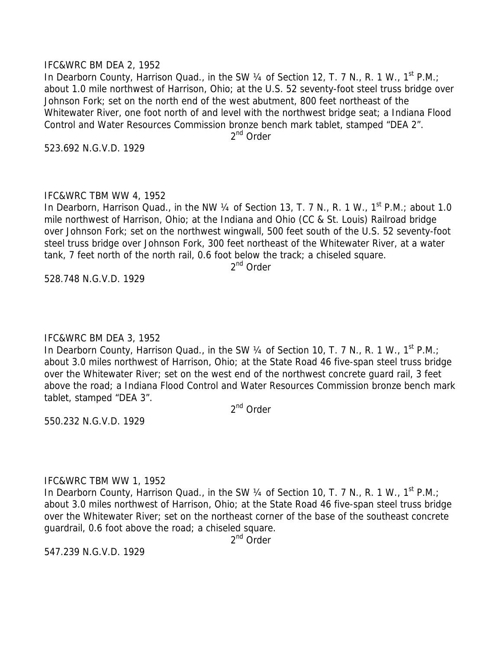#### IFC&WRC BM DEA 2, 1952

In Dearborn County, Harrison Quad., in the SW  $\frac{1}{4}$  of Section 12, T. 7 N., R. 1 W., 1<sup>st</sup> P.M.; about 1.0 mile northwest of Harrison, Ohio; at the U.S. 52 seventy-foot steel truss bridge over Johnson Fork; set on the north end of the west abutment, 800 feet northeast of the Whitewater River, one foot north of and level with the northwest bridge seat; a Indiana Flood Control and Water Resources Commission bronze bench mark tablet, stamped "DEA 2".

2<sup>nd</sup> Order

523.692 N.G.V.D. 1929

#### IFC&WRC TBM WW 4, 1952

In Dearborn, Harrison Quad., in the NW 1/4 of Section 13, T. 7 N., R. 1 W., 1<sup>st</sup> P.M.; about 1.0 mile northwest of Harrison, Ohio; at the Indiana and Ohio (CC & St. Louis) Railroad bridge over Johnson Fork; set on the northwest wingwall, 500 feet south of the U.S. 52 seventy-foot steel truss bridge over Johnson Fork, 300 feet northeast of the Whitewater River, at a water tank, 7 feet north of the north rail, 0.6 foot below the track; a chiseled square.

2<sup>nd</sup> Order

528.748 N.G.V.D. 1929

# IFC&WRC BM DEA 3, 1952

In Dearborn County, Harrison Quad., in the SW  $\frac{1}{4}$  of Section 10, T. 7 N., R. 1 W., 1<sup>st</sup> P.M.; about 3.0 miles northwest of Harrison, Ohio; at the State Road 46 five-span steel truss bridge over the Whitewater River; set on the west end of the northwest concrete guard rail, 3 feet above the road; a Indiana Flood Control and Water Resources Commission bronze bench mark tablet, stamped "DEA 3".

2nd Order

550.232 N.G.V.D. 1929

#### IFC&WRC TBM WW 1, 1952

In Dearborn County, Harrison Quad., in the SW 1/4 of Section 10, T. 7 N., R. 1 W., 1<sup>st</sup> P.M.; about 3.0 miles northwest of Harrison, Ohio; at the State Road 46 five-span steel truss bridge over the Whitewater River; set on the northeast corner of the base of the southeast concrete guardrail, 0.6 foot above the road; a chiseled square.

2<sup>nd</sup> Order

547.239 N.G.V.D. 1929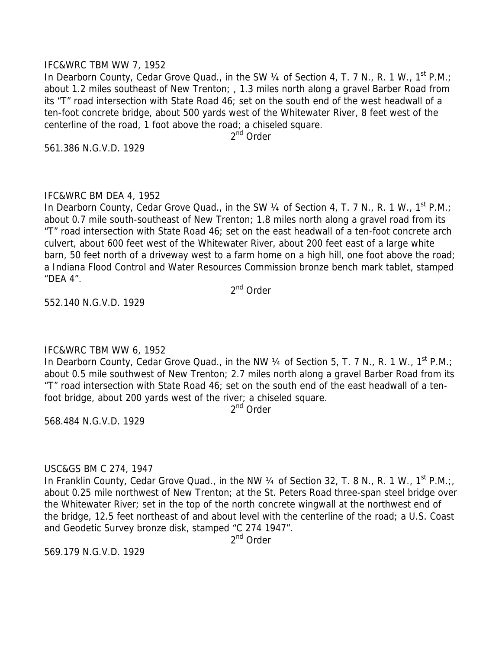#### IFC&WRC TBM WW 7, 1952

In Dearborn County, Cedar Grove Quad., in the SW 1/4 of Section 4, T. 7 N., R. 1 W., 1<sup>st</sup> P.M.; about 1.2 miles southeast of New Trenton; , 1.3 miles north along a gravel Barber Road from its "T" road intersection with State Road 46; set on the south end of the west headwall of a ten-foot concrete bridge, about 500 yards west of the Whitewater River, 8 feet west of the centerline of the road, 1 foot above the road; a chiseled square.

2<sup>nd</sup> Order

561.386 N.G.V.D. 1929

# IFC&WRC BM DEA 4, 1952

In Dearborn County, Cedar Grove Quad., in the SW 1/4 of Section 4, T. 7 N., R. 1 W., 1<sup>st</sup> P.M.; about 0.7 mile south-southeast of New Trenton; 1.8 miles north along a gravel road from its "T" road intersection with State Road 46; set on the east headwall of a ten-foot concrete arch culvert, about 600 feet west of the Whitewater River, about 200 feet east of a large white barn, 50 feet north of a driveway west to a farm home on a high hill, one foot above the road; a Indiana Flood Control and Water Resources Commission bronze bench mark tablet, stamped "DEA 4".

2nd Order

552.140 N.G.V.D. 1929

# IFC&WRC TBM WW 6, 1952

In Dearborn County, Cedar Grove Quad., in the NW 1/4 of Section 5, T. 7 N., R. 1 W., 1<sup>st</sup> P.M.; about 0.5 mile southwest of New Trenton; 2.7 miles north along a gravel Barber Road from its "T" road intersection with State Road 46; set on the south end of the east headwall of a tenfoot bridge, about 200 yards west of the river; a chiseled square.

2nd Order

568.484 N.G.V.D. 1929

#### USC&GS BM C 274, 1947

In Franklin County, Cedar Grove Quad., in the NW  $\frac{1}{4}$  of Section 32, T. 8 N., R. 1 W., 1<sup>st</sup> P.M.; about 0.25 mile northwest of New Trenton; at the St. Peters Road three-span steel bridge over the Whitewater River; set in the top of the north concrete wingwall at the northwest end of the bridge, 12.5 feet northeast of and about level with the centerline of the road; a U.S. Coast and Geodetic Survey bronze disk, stamped "C 274 1947".

2nd Order

569.179 N.G.V.D. 1929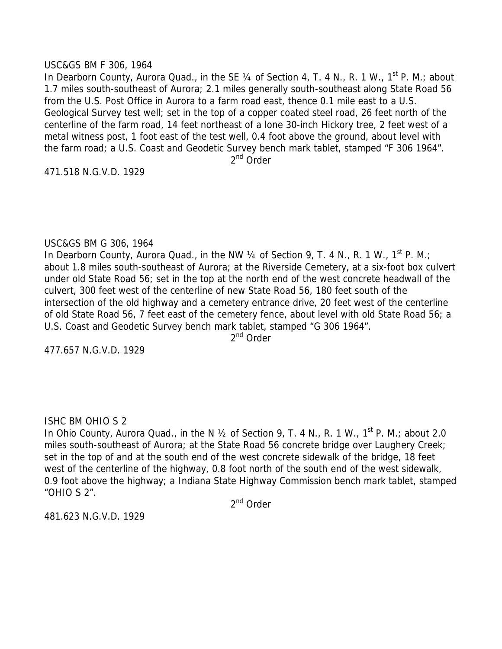#### USC&GS BM F 306, 1964

In Dearborn County, Aurora Quad., in the SE 1/4 of Section 4, T. 4 N., R. 1 W., 1<sup>st</sup> P. M.; about 1.7 miles south-southeast of Aurora; 2.1 miles generally south-southeast along State Road 56 from the U.S. Post Office in Aurora to a farm road east, thence 0.1 mile east to a U.S. Geological Survey test well; set in the top of a copper coated steel road, 26 feet north of the centerline of the farm road, 14 feet northeast of a lone 30-inch Hickory tree, 2 feet west of a metal witness post, 1 foot east of the test well, 0.4 foot above the ground, about level with the farm road; a U.S. Coast and Geodetic Survey bench mark tablet, stamped "F 306 1964".

2nd Order

471.518 N.G.V.D. 1929

# USC&GS BM G 306, 1964

In Dearborn County, Aurora Quad., in the NW 1/4 of Section 9, T. 4 N., R. 1 W., 1<sup>st</sup> P. M.; about 1.8 miles south-southeast of Aurora; at the Riverside Cemetery, at a six-foot box culvert under old State Road 56; set in the top at the north end of the west concrete headwall of the culvert, 300 feet west of the centerline of new State Road 56, 180 feet south of the intersection of the old highway and a cemetery entrance drive, 20 feet west of the centerline of old State Road 56, 7 feet east of the cemetery fence, about level with old State Road 56; a U.S. Coast and Geodetic Survey bench mark tablet, stamped "G 306 1964".

2<sup>nd</sup> Order

477.657 N.G.V.D. 1929

# ISHC BM OHIO S 2

In Ohio County, Aurora Quad., in the N 1/2 of Section 9, T. 4 N., R. 1 W., 1<sup>st</sup> P. M.; about 2.0 miles south-southeast of Aurora; at the State Road 56 concrete bridge over Laughery Creek; set in the top of and at the south end of the west concrete sidewalk of the bridge, 18 feet west of the centerline of the highway, 0.8 foot north of the south end of the west sidewalk, 0.9 foot above the highway; a Indiana State Highway Commission bench mark tablet, stamped "OHIO S 2".

2nd Order

481.623 N.G.V.D. 1929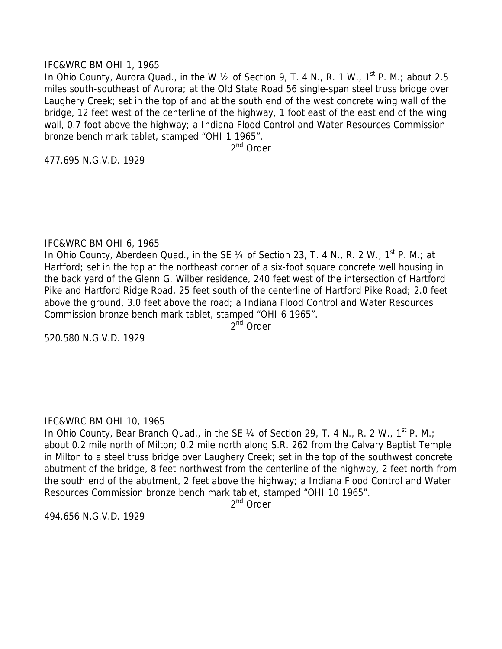#### IFC&WRC BM OHI 1, 1965

In Ohio County, Aurora Quad., in the W  $\frac{1}{2}$  of Section 9, T. 4 N., R. 1 W., 1<sup>st</sup> P. M.; about 2.5 miles south-southeast of Aurora; at the Old State Road 56 single-span steel truss bridge over Laughery Creek; set in the top of and at the south end of the west concrete wing wall of the bridge, 12 feet west of the centerline of the highway, 1 foot east of the east end of the wing wall, 0.7 foot above the highway; a Indiana Flood Control and Water Resources Commission bronze bench mark tablet, stamped "OHI 1 1965".

2<sup>nd</sup> Order

477.695 N.G.V.D. 1929

# IFC&WRC BM OHI 6, 1965

In Ohio County, Aberdeen Quad., in the SE 1/4 of Section 23, T. 4 N., R. 2 W., 1<sup>st</sup> P. M.; at Hartford; set in the top at the northeast corner of a six-foot square concrete well housing in the back yard of the Glenn G. Wilber residence, 240 feet west of the intersection of Hartford Pike and Hartford Ridge Road, 25 feet south of the centerline of Hartford Pike Road; 2.0 feet above the ground, 3.0 feet above the road; a Indiana Flood Control and Water Resources Commission bronze bench mark tablet, stamped "OHI 6 1965".

2<sup>nd</sup> Order

520.580 N.G.V.D. 1929

# IFC&WRC BM OHI 10, 1965

In Ohio County, Bear Branch Quad., in the SE 1/4 of Section 29, T. 4 N., R. 2 W., 1<sup>st</sup> P. M.; about 0.2 mile north of Milton; 0.2 mile north along S.R. 262 from the Calvary Baptist Temple in Milton to a steel truss bridge over Laughery Creek; set in the top of the southwest concrete abutment of the bridge, 8 feet northwest from the centerline of the highway, 2 feet north from the south end of the abutment, 2 feet above the highway; a Indiana Flood Control and Water Resources Commission bronze bench mark tablet, stamped "OHI 10 1965".

2<sup>nd</sup> Order

494.656 N.G.V.D. 1929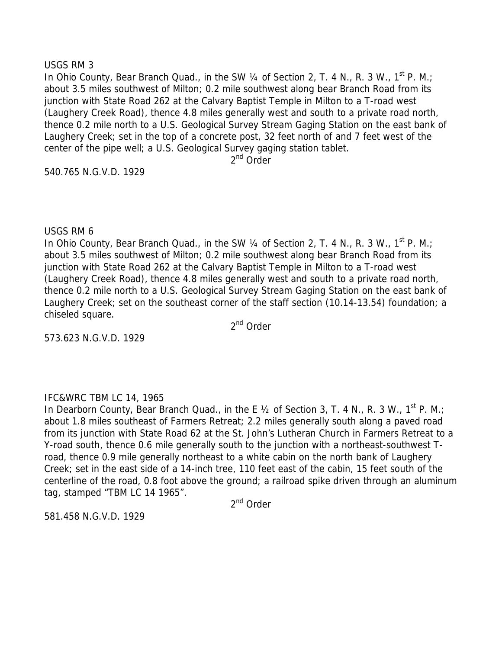#### USGS RM 3

In Ohio County, Bear Branch Quad., in the SW 1/4 of Section 2, T. 4 N., R. 3 W., 1<sup>st</sup> P. M.; about 3.5 miles southwest of Milton; 0.2 mile southwest along bear Branch Road from its junction with State Road 262 at the Calvary Baptist Temple in Milton to a T-road west (Laughery Creek Road), thence 4.8 miles generally west and south to a private road north, thence 0.2 mile north to a U.S. Geological Survey Stream Gaging Station on the east bank of Laughery Creek; set in the top of a concrete post, 32 feet north of and 7 feet west of the center of the pipe well; a U.S. Geological Survey gaging station tablet.

2<sup>nd</sup> Order

540.765 N.G.V.D. 1929

# USGS RM 6

In Ohio County, Bear Branch Quad., in the SW  $\frac{1}{4}$  of Section 2, T. 4 N., R. 3 W., 1<sup>st</sup> P. M.; about 3.5 miles southwest of Milton; 0.2 mile southwest along bear Branch Road from its junction with State Road 262 at the Calvary Baptist Temple in Milton to a T-road west (Laughery Creek Road), thence 4.8 miles generally west and south to a private road north, thence 0.2 mile north to a U.S. Geological Survey Stream Gaging Station on the east bank of Laughery Creek; set on the southeast corner of the staff section (10.14-13.54) foundation; a chiseled square.

2<sup>nd</sup> Order

573.623 N.G.V.D. 1929

# IFC&WRC TBM LC 14, 1965

In Dearborn County, Bear Branch Quad., in the E 1/2 of Section 3, T. 4 N., R. 3 W., 1<sup>st</sup> P. M.; about 1.8 miles southeast of Farmers Retreat; 2.2 miles generally south along a paved road from its junction with State Road 62 at the St. John's Lutheran Church in Farmers Retreat to a Y-road south, thence 0.6 mile generally south to the junction with a northeast-southwest Troad, thence 0.9 mile generally northeast to a white cabin on the north bank of Laughery Creek; set in the east side of a 14-inch tree, 110 feet east of the cabin, 15 feet south of the centerline of the road, 0.8 foot above the ground; a railroad spike driven through an aluminum tag, stamped "TBM LC 14 1965".

2<sup>nd</sup> Order

581.458 N.G.V.D. 1929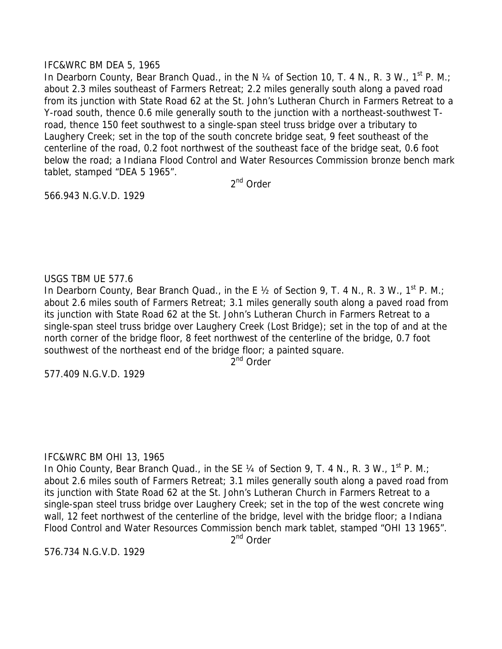# IFC&WRC BM DEA 5, 1965

In Dearborn County, Bear Branch Quad., in the N 1/4 of Section 10, T. 4 N., R. 3 W., 1<sup>st</sup> P. M.; about 2.3 miles southeast of Farmers Retreat; 2.2 miles generally south along a paved road from its junction with State Road 62 at the St. John's Lutheran Church in Farmers Retreat to a Y-road south, thence 0.6 mile generally south to the junction with a northeast-southwest Troad, thence 150 feet southwest to a single-span steel truss bridge over a tributary to Laughery Creek; set in the top of the south concrete bridge seat, 9 feet southeast of the centerline of the road, 0.2 foot northwest of the southeast face of the bridge seat, 0.6 foot below the road; a Indiana Flood Control and Water Resources Commission bronze bench mark tablet, stamped "DEA 5 1965".

2<sup>nd</sup> Order

566.943 N.G.V.D. 1929

# USGS TBM UE 577.6

In Dearborn County, Bear Branch Quad., in the E  $\frac{1}{2}$  of Section 9, T. 4 N., R. 3 W., 1<sup>st</sup> P. M.; about 2.6 miles south of Farmers Retreat; 3.1 miles generally south along a paved road from its junction with State Road 62 at the St. John's Lutheran Church in Farmers Retreat to a single-span steel truss bridge over Laughery Creek (Lost Bridge); set in the top of and at the north corner of the bridge floor, 8 feet northwest of the centerline of the bridge, 0.7 foot southwest of the northeast end of the bridge floor; a painted square.

 $2<sup>nd</sup>$  Order

577.409 N.G.V.D. 1929

# IFC&WRC BM OHI 13, 1965

In Ohio County, Bear Branch Quad., in the SE 1/4 of Section 9, T. 4 N., R. 3 W., 1<sup>st</sup> P. M.; about 2.6 miles south of Farmers Retreat; 3.1 miles generally south along a paved road from its junction with State Road 62 at the St. John's Lutheran Church in Farmers Retreat to a single-span steel truss bridge over Laughery Creek; set in the top of the west concrete wing wall, 12 feet northwest of the centerline of the bridge, level with the bridge floor; a Indiana Flood Control and Water Resources Commission bench mark tablet, stamped "OHI 13 1965".

2<sup>nd</sup> Order

576.734 N.G.V.D. 1929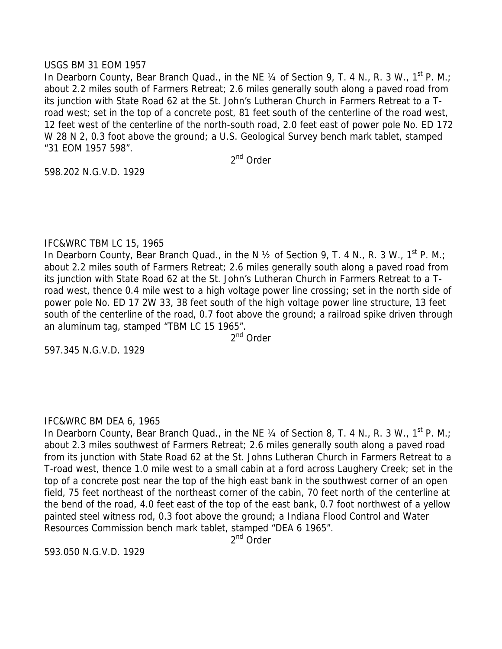#### USGS BM 31 EOM 1957

In Dearborn County, Bear Branch Quad., in the NE 1/4 of Section 9, T. 4 N., R. 3 W., 1<sup>st</sup> P. M.; about 2.2 miles south of Farmers Retreat; 2.6 miles generally south along a paved road from its junction with State Road 62 at the St. John's Lutheran Church in Farmers Retreat to a Troad west; set in the top of a concrete post, 81 feet south of the centerline of the road west, 12 feet west of the centerline of the north-south road, 2.0 feet east of power pole No. ED 172 W 28 N 2, 0.3 foot above the ground; a U.S. Geological Survey bench mark tablet, stamped "31 EOM 1957 598".

2nd Order

598.202 N.G.V.D. 1929

# IFC&WRC TBM LC 15, 1965

In Dearborn County, Bear Branch Quad., in the N 1/2 of Section 9, T. 4 N., R. 3 W., 1<sup>st</sup> P. M.; about 2.2 miles south of Farmers Retreat; 2.6 miles generally south along a paved road from its junction with State Road 62 at the St. John's Lutheran Church in Farmers Retreat to a Troad west, thence 0.4 mile west to a high voltage power line crossing; set in the north side of power pole No. ED 17 2W 33, 38 feet south of the high voltage power line structure, 13 feet south of the centerline of the road, 0.7 foot above the ground; a railroad spike driven through an aluminum tag, stamped "TBM LC 15 1965".

 $2^{nd}$  Order

597.345 N.G.V.D. 1929

#### IFC&WRC BM DEA 6, 1965

In Dearborn County, Bear Branch Quad., in the NE 1/4 of Section 8, T. 4 N., R. 3 W., 1<sup>st</sup> P. M.; about 2.3 miles southwest of Farmers Retreat; 2.6 miles generally south along a paved road from its junction with State Road 62 at the St. Johns Lutheran Church in Farmers Retreat to a T-road west, thence 1.0 mile west to a small cabin at a ford across Laughery Creek; set in the top of a concrete post near the top of the high east bank in the southwest corner of an open field, 75 feet northeast of the northeast corner of the cabin, 70 feet north of the centerline at the bend of the road, 4.0 feet east of the top of the east bank, 0.7 foot northwest of a yellow painted steel witness rod, 0.3 foot above the ground; a Indiana Flood Control and Water Resources Commission bench mark tablet, stamped "DEA 6 1965".

2<sup>nd</sup> Order

593.050 N.G.V.D. 1929